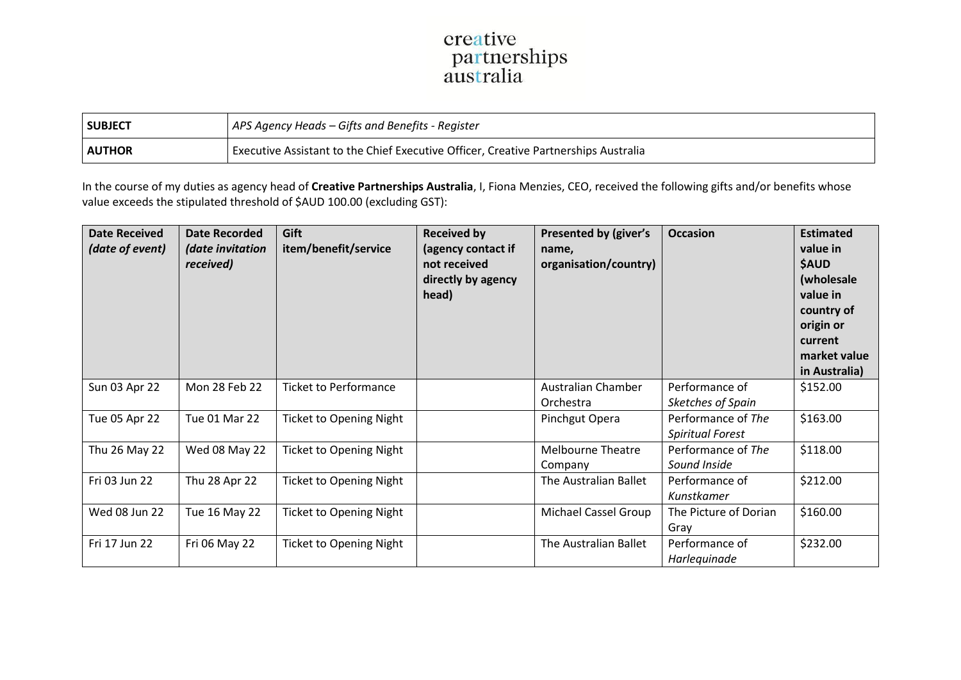## creative<br>partnerships<br>australia

| SUBJECT        | APS Agency Heads – Gifts and Benefits - Register                                    |  |  |  |
|----------------|-------------------------------------------------------------------------------------|--|--|--|
| <b>LAUTHOR</b> | Executive Assistant to the Chief Executive Officer, Creative Partnerships Australia |  |  |  |

In the course of my duties as agency head of **Creative Partnerships Australia**, I, Fiona Menzies, CEO, received the following gifts and/or benefits whose value exceeds the stipulated threshold of \$AUD 100.00 (excluding GST):

| <b>Date Received</b><br>(date of event) | <b>Date Recorded</b><br>(date invitation<br>received) | Gift<br>item/benefit/service   | <b>Received by</b><br>(agency contact if<br>not received<br>directly by agency<br>head) | Presented by (giver's<br>name,<br>organisation/country) | <b>Occasion</b>                               | <b>Estimated</b><br>value in<br><b>\$AUD</b><br>(wholesale<br>value in<br>country of<br>origin or<br>current<br>market value<br>in Australia) |
|-----------------------------------------|-------------------------------------------------------|--------------------------------|-----------------------------------------------------------------------------------------|---------------------------------------------------------|-----------------------------------------------|-----------------------------------------------------------------------------------------------------------------------------------------------|
| Sun 03 Apr 22                           | Mon 28 Feb 22                                         | <b>Ticket to Performance</b>   |                                                                                         | Australian Chamber<br>Orchestra                         | Performance of<br>Sketches of Spain           | \$152.00                                                                                                                                      |
| Tue 05 Apr 22                           | Tue 01 Mar 22                                         | <b>Ticket to Opening Night</b> |                                                                                         | Pinchgut Opera                                          | Performance of The<br><b>Spiritual Forest</b> | \$163.00                                                                                                                                      |
| Thu 26 May 22                           | Wed 08 May 22                                         | <b>Ticket to Opening Night</b> |                                                                                         | <b>Melbourne Theatre</b><br>Company                     | Performance of The<br>Sound Inside            | \$118.00                                                                                                                                      |
| Fri 03 Jun 22                           | Thu 28 Apr 22                                         | <b>Ticket to Opening Night</b> |                                                                                         | The Australian Ballet                                   | Performance of<br>Kunstkamer                  | \$212.00                                                                                                                                      |
| Wed 08 Jun 22                           | Tue 16 May 22                                         | <b>Ticket to Opening Night</b> |                                                                                         | Michael Cassel Group                                    | The Picture of Dorian<br>Gray                 | \$160.00                                                                                                                                      |
| Fri 17 Jun 22                           | Fri 06 May 22                                         | <b>Ticket to Opening Night</b> |                                                                                         | The Australian Ballet                                   | Performance of<br>Harlequinade                | \$232.00                                                                                                                                      |